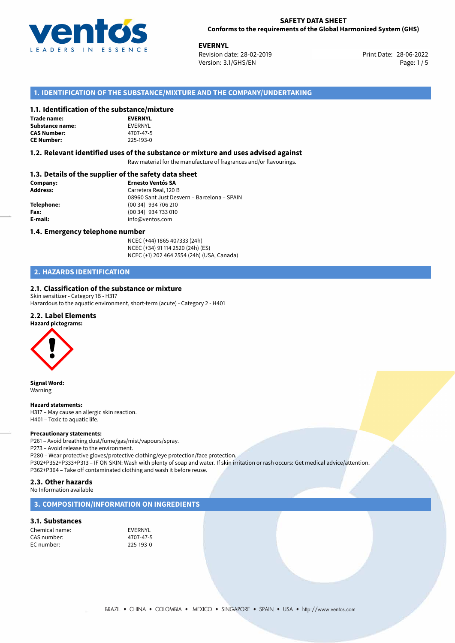

**EVERNYL**<br>28-06-2022 **Revision date: 28-02-2019** Print Date: 28-06-2022 Version: 3.1/GHS/EN Page: 1 / 5

# **1. IDENTIFICATION OF THE SUBSTANCE/MIXTURE AND THE COMPANY/UNDERTAKING**

# **1.1. Identification of the substance/mixture**

| <b>EVERNYL</b> |
|----------------|
| <b>FVFRNYI</b> |
| 4707-47-5      |
| 225-193-0      |
|                |

| unstance/IIII |                |  |
|---------------|----------------|--|
|               | <b>EVERNYL</b> |  |
|               | EVERNYL        |  |
|               | 4707-47-5      |  |
|               | 225-193-0      |  |

## **1.2. Relevant identified uses of the substance or mixture and uses advised against**

Raw material for the manufacture of fragrances and/or flavourings.

# **1.3. Details of the supplier of the safety data sheet**

| Company:   | <b>Ernesto Ventós SA</b>                    |  |
|------------|---------------------------------------------|--|
| Address:   | Carretera Real, 120 B                       |  |
|            | 08960 Sant Just Desvern - Barcelona - SPAIN |  |
| Telephone: | (00 34) 934 706 210                         |  |
| Fax:       | (00 34) 934 733 010                         |  |
| E-mail:    | info@ventos.com                             |  |
|            |                                             |  |

## **1.4. Emergency telephone number**

NCEC (+44) 1865 407333 (24h) NCEC (+34) 91 114 2520 (24h) (ES) NCEC (+1) 202 464 2554 (24h) (USA, Canada)

# **2. HAZARDS IDENTIFICATION**

## **2.1. Classification of the substance or mixture**

Skin sensitizer - Category 1B - H317 Hazardous to the aquatic environment, short-term (acute) - Category 2 - H401

## **2.2. Label Elements**

### **Hazard pictograms:**



**Signal Word:** Warning

## **Hazard statements:**

H317 – May cause an allergic skin reaction. H401 – Toxic to aquatic life.

## **Precautionary statements:**

P261 – Avoid breathing dust/fume/gas/mist/vapours/spray.

P273 – Avoid release to the environment.

P280 – Wear protective gloves/protective clothing/eye protection/face protection. P302+P352+P333+P313 – IF ON SKIN: Wash with plenty of soap and water. If skin irritation or rash occurs: Get medical advice/attention. P362+P364 – Take off contaminated clothing and wash it before reuse.

## **2.3. Other hazards**

No Information available

# **3. COMPOSITION/INFORMATION ON INGREDIENTS**

# **3.1. Substances**

Chemical name:<br>
CAS number: 
24707-47-5 CAS number: EC number: 225-193-0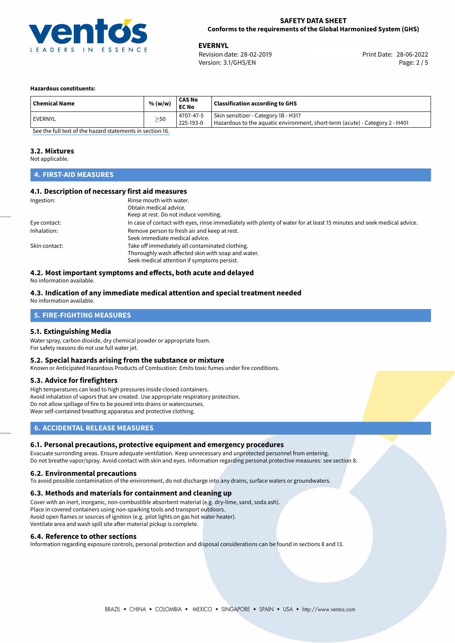

**EVERNYL**<br>
Revision date: 28-02-2019 **Print Date: 28-06-2022** Version: 3.1/GHS/EN Page: 2 / 5

## **Hazardous constituents:**

| <b>Chemical Name</b>                                     | % (w/w)   | CAS No<br><b>EC No</b> | <b>Classification according to GHS</b>                                       |
|----------------------------------------------------------|-----------|------------------------|------------------------------------------------------------------------------|
| ' EVERNYL                                                | $\geq$ 50 | 4707-47-5              | Skin sensitizer - Category 1B - H317                                         |
|                                                          |           | 225-193-0              | Hazardous to the aquatic environment, short-term (acute) - Category 2 - H401 |
| See the full tout of the horsed statements in section 16 |           |                        |                                                                              |

[See the full text of the hazard statements in section 16.](#page-4-0)

## **3.2. Mixtures**

Not applicable.

# **4. FIRST-AID MEASURES**

## **4.1. Description of necessary first aid measures**

| Ingestion:    | Rinse mouth with water.<br>Obtain medical advice.<br>Keep at rest. Do not induce vomiting.                            |
|---------------|-----------------------------------------------------------------------------------------------------------------------|
|               |                                                                                                                       |
| Eye contact:  | In case of contact with eyes, rinse immediately with plenty of water for at least 15 minutes and seek medical advice. |
| Inhalation:   | Remove person to fresh air and keep at rest.                                                                          |
|               | Seek immediate medical advice.                                                                                        |
| Skin contact: | Take off immediately all contaminated clothing.                                                                       |
|               | Thoroughly wash affected skin with soap and water.                                                                    |
|               | Seek medical attention if symptoms persist.                                                                           |

# **4.2. Most important symptoms and effects, both acute and delayed**

No information available.

## **4.3. Indication of any immediate medical attention and special treatment needed** No information available.

# **5. FIRE-FIGHTING MEASURES**

## **5.1. Extinguishing Media**

Water spray, carbon dioxide, dry chemical powder or appropriate foam. For safety reasons do not use full water jet.

## **5.2. Special hazards arising from the substance or mixture**

Known or Anticipated Hazardous Products of Combustion: Emits toxic fumes under fire conditions.

## **5.3. Advice for firefighters**

High temperatures can lead to high pressures inside closed containers. Avoid inhalation of vapors that are created. Use appropriate respiratory protection. Do not allow spillage of fire to be poured into drains or watercourses. Wear self-contained breathing apparatus and protective clothing.

# **6. ACCIDENTAL RELEASE MEASURES**

# **6.1. Personal precautions, protective equipment and emergency procedures**

Evacuate surronding areas. Ensure adequate ventilation. Keep unnecessary and unprotected personnel from entering. Do not breathe vapor/spray. Avoid contact with skin and eyes. Information regarding personal protective measures: see section 8.

## **6.2. Environmental precautions**

To avoid possible contamination of the environment, do not discharge into any drains, surface waters or groundwaters.

## **6.3. Methods and materials for containment and cleaning up**

Cover with an inert, inorganic, non-combustible absorbent material (e.g. dry-lime, sand, soda ash). Place in covered containers using non-sparking tools and transport outdoors. Avoid open flames or sources of ignition (e.g. pilot lights on gas hot water heater). Ventilate area and wash spill site after material pickup is complete.

## **6.4. Reference to other sections**

Information regarding exposure controls, personal protection and disposal considerations can be found in sections 8 and 13.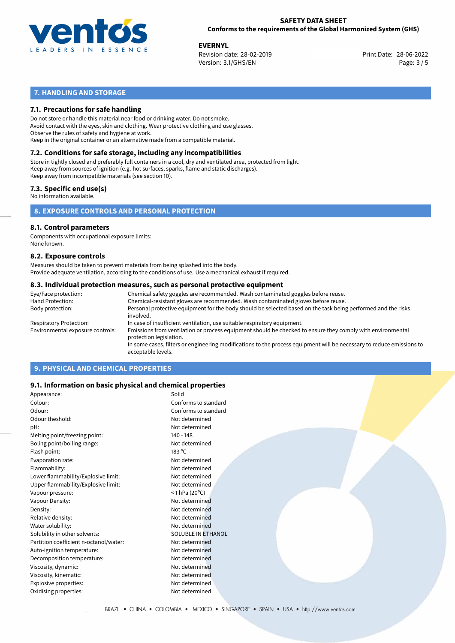

**EVERNYL**<br>
Revision date: 28-02-2019 **Print Date: 28-06-2022** Version: 3.1/GHS/EN Page: 3 / 5

# **7. HANDLING AND STORAGE**

# **7.1. Precautions for safe handling**

Do not store or handle this material near food or drinking water. Do not smoke. Avoid contact with the eyes, skin and clothing. Wear protective clothing and use glasses. Observe the rules of safety and hygiene at work. Keep in the original container or an alternative made from a compatible material.

# **7.2. Conditions for safe storage, including any incompatibilities**

Store in tightly closed and preferably full containers in a cool, dry and ventilated area, protected from light. Keep away from sources of ignition (e.g. hot surfaces, sparks, flame and static discharges). Keep away from incompatible materials (see section 10).

# **7.3. Specific end use(s)**

No information available.

**8. EXPOSURE CONTROLS AND PERSONAL PROTECTION**

# **8.1. Control parameters**

Components with occupational exposure limits: None known.

## **8.2. Exposure controls**

Measures should be taken to prevent materials from being splashed into the body. Provide adequate ventilation, according to the conditions of use. Use a mechanical exhaust if required.

## **8.3. Individual protection measures, such as personal protective equipment**

| Eye/Face protection:             | Chemical safety goggles are recommended. Wash contaminated goggles before reuse.                                                            |
|----------------------------------|---------------------------------------------------------------------------------------------------------------------------------------------|
| Hand Protection:                 | Chemical-resistant gloves are recommended. Wash contaminated gloves before reuse.                                                           |
| Body protection:                 | Personal protective equipment for the body should be selected based on the task being performed and the risks<br>involved.                  |
| Respiratory Protection:          | In case of insufficient ventilation, use suitable respiratory equipment.                                                                    |
| Environmental exposure controls: | Emissions from ventilation or process equipment should be checked to ensure they comply with environmental<br>protection legislation.       |
|                                  | In some cases, filters or engineering modifications to the process equipment will be necessary to reduce emissions to<br>acceptable levels. |
|                                  |                                                                                                                                             |

# **9. PHYSICAL AND CHEMICAL PROPERTIES**

## **9.1. Information on basic physical and chemical properties**

| Appearance:                            | Solid                       |
|----------------------------------------|-----------------------------|
| Colour:                                | Conforms to standard        |
| Odour:                                 | Conforms to standard        |
| Odour theshold:                        | Not determined              |
| pH:                                    | Not determined              |
| Melting point/freezing point:          | $140 - 148$                 |
| Boling point/boiling range:            | Not determined              |
| Flash point:                           | $183^{\circ}$ C             |
| Evaporation rate:                      | Not determined              |
| Flammability:                          | Not determined              |
| Lower flammability/Explosive limit:    | Not determined              |
| Upper flammability/Explosive limit:    | Not determined              |
| Vapour pressure:                       | $<$ 1 hPa (20 $^{\circ}$ C) |
| Vapour Density:                        | Not determined              |
| Density:                               | Not determined              |
| Relative density:                      | Not determined              |
| Water solubility:                      | Not determined              |
| Solubility in other solvents:          | SOLUBLE IN ETHANOL          |
| Partition coefficient n-octanol/water: | Not determined              |
| Auto-ignition temperature:             | Not determined              |
| Decomposition temperature:             | Not determined              |
| Viscosity, dynamic:                    | Not determined              |
| Viscosity, kinematic:                  | Not determined              |
| Explosive properties:                  | Not determined              |
| Oxidising properties:                  | Not determined              |
|                                        |                             |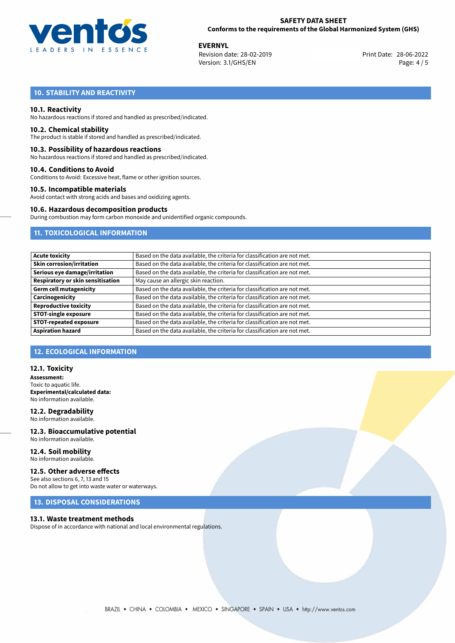

**EVERNYL**<br>
Revision date: 28-02-2019 **Print Date: 28-06-2022** Version: 3.1/GHS/EN Page: 4 / 5

# **10. STABILITY AND REACTIVITY**

## **10.1. Reactivity**

No hazardous reactions if stored and handled as prescribed/indicated.

## **10.2. Chemical stability**

The product is stable if stored and handled as prescribed/indicated.

## **10.3. Possibility of hazardous reactions**

No hazardous reactions if stored and handled as prescribed/indicated.

## **10.4. Conditions to Avoid**

Conditions to Avoid: Excessive heat, flame or other ignition sources.

## **10.5. Incompatible materials**

Avoid contact with strong acids and bases and oxidizing agents.

## **10.6. Hazardous decomposition products**

During combustion may form carbon monoxide and unidentified organic compounds.

# **11. TOXICOLOGICAL INFORMATION**

| <b>Acute toxicity</b>             | Based on the data available, the criteria for classification are not met. |
|-----------------------------------|---------------------------------------------------------------------------|
| Skin corrosion/irritation         | Based on the data available, the criteria for classification are not met. |
| Serious eye damage/irritation     | Based on the data available, the criteria for classification are not met. |
| Respiratory or skin sensitisation | May cause an allergic skin reaction.                                      |
| Germ cell mutagenicity            | Based on the data available, the criteria for classification are not met. |
| Carcinogenicity                   | Based on the data available, the criteria for classification are not met. |
| <b>Reproductive toxicity</b>      | Based on the data available, the criteria for classification are not met. |
| <b>STOT-single exposure</b>       | Based on the data available, the criteria for classification are not met. |
| <b>STOT-repeated exposure</b>     | Based on the data available, the criteria for classification are not met. |
| <b>Aspiration hazard</b>          | Based on the data available, the criteria for classification are not met. |

# **12. ECOLOGICAL INFORMATION**

## **12.1. Toxicity**

**Assessment:** Toxic to aquatic life. **Experimental/calculated data:** No information available.

**12.2. Degradability** No information available.

**12.3. Bioaccumulative potential** No information available.

### **12.4. Soil mobility** No information available.

## **12.5. Other adverse effects**

See also sections 6, 7, 13 and 15 Do not allow to get into waste water or waterways.

# **13. DISPOSAL CONSIDERATIONS**

## **13.1. Waste treatment methods**

Dispose of in accordance with national and local environmental regulations.